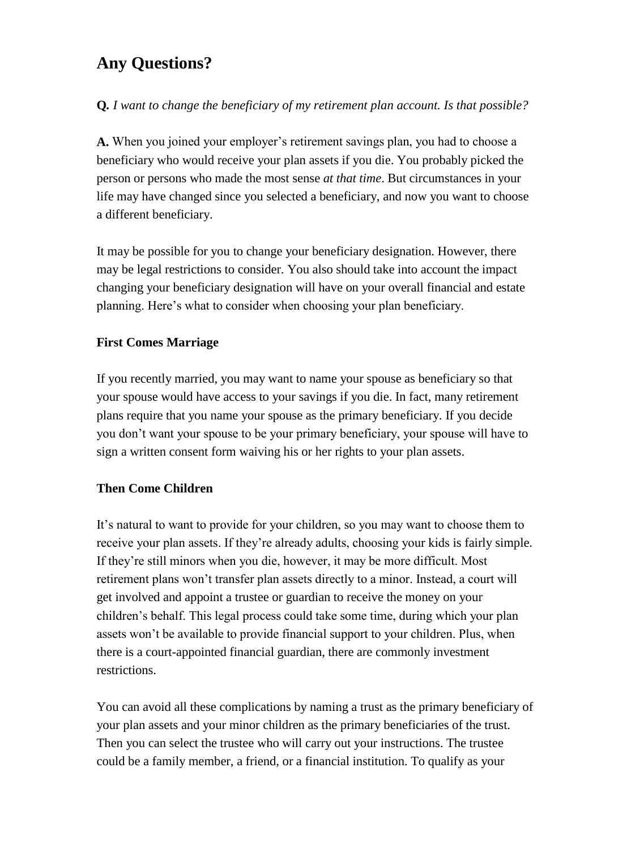# **Any Questions?**

**Q***. I want to change the beneficiary of my retirement plan account. Is that possible?*

**A.** When you joined your employer's retirement savings plan, you had to choose a beneficiary who would receive your plan assets if you die. You probably picked the person or persons who made the most sense *at that time*. But circumstances in your life may have changed since you selected a beneficiary, and now you want to choose a different beneficiary.

It may be possible for you to change your beneficiary designation. However, there may be legal restrictions to consider. You also should take into account the impact changing your beneficiary designation will have on your overall financial and estate planning. Here's what to consider when choosing your plan beneficiary.

# **First Comes Marriage**

If you recently married, you may want to name your spouse as beneficiary so that your spouse would have access to your savings if you die. In fact, many retirement plans require that you name your spouse as the primary beneficiary. If you decide you don't want your spouse to be your primary beneficiary, your spouse will have to sign a written consent form waiving his or her rights to your plan assets.

# **Then Come Children**

It's natural to want to provide for your children, so you may want to choose them to receive your plan assets. If they're already adults, choosing your kids is fairly simple. If they're still minors when you die, however, it may be more difficult. Most retirement plans won't transfer plan assets directly to a minor. Instead, a court will get involved and appoint a trustee or guardian to receive the money on your children's behalf. This legal process could take some time, during which your plan assets won't be available to provide financial support to your children. Plus, when there is a court-appointed financial guardian, there are commonly investment restrictions.

You can avoid all these complications by naming a trust as the primary beneficiary of your plan assets and your minor children as the primary beneficiaries of the trust. Then you can select the trustee who will carry out your instructions. The trustee could be a family member, a friend, or a financial institution. To qualify as your